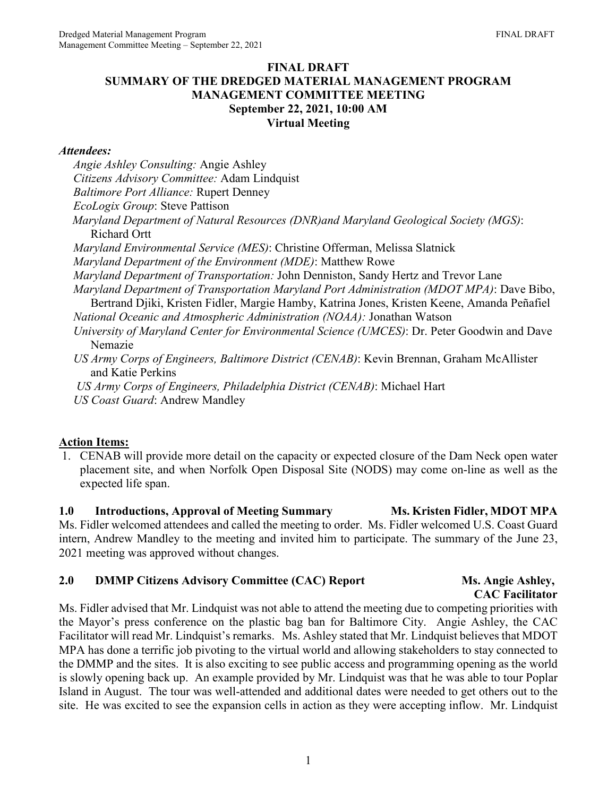### **FINAL DRAFT SUMMARY OF THE DREDGED MATERIAL MANAGEMENT PROGRAM MANAGEMENT COMMITTEE MEETING September 22, 2021, 10:00 AM Virtual Meeting**

#### *Attendees:*

*Angie Ashley Consulting:* Angie Ashley *Citizens Advisory Committee:* Adam Lindquist *Baltimore Port Alliance:* Rupert Denney *EcoLogix Group*: Steve Pattison *Maryland Department of Natural Resources (DNR)and Maryland Geological Society (MGS)*: Richard Ortt *Maryland Environmental Service (MES)*: Christine Offerman, Melissa Slatnick *Maryland Department of the Environment (MDE)*: Matthew Rowe *Maryland Department of Transportation:* John Denniston, Sandy Hertz and Trevor Lane *Maryland Department of Transportation Maryland Port Administration (MDOT MPA)*: Dave Bibo, Bertrand Djiki, Kristen Fidler, Margie Hamby, Katrina Jones, Kristen Keene, Amanda Peñafiel *National Oceanic and Atmospheric Administration (NOAA):* Jonathan Watson *University of Maryland Center for Environmental Science (UMCES)*: Dr. Peter Goodwin and Dave Nemazie *US Army Corps of Engineers, Baltimore District (CENAB)*: Kevin Brennan, Graham McAllister and Katie Perkins *US Army Corps of Engineers, Philadelphia District (CENAB)*: Michael Hart *US Coast Guard*: Andrew Mandley

#### **Action Items:**

1. CENAB will provide more detail on the capacity or expected closure of the Dam Neck open water placement site, and when Norfolk Open Disposal Site (NODS) may come on-line as well as the expected life span.

**1.0** Introductions, Approval of Meeting Summary Ms. Kristen Fidler, MDOT MPA Ms. Fidler welcomed attendees and called the meeting to order. Ms. Fidler welcomed U.S. Coast Guard intern, Andrew Mandley to the meeting and invited him to participate. The summary of the June 23, 2021 meeting was approved without changes.

#### **2.0 DMMP** Citizens Advisory Committee (CAC) Report Ms. Angie Ashley,

# **CAC Facilitator**

Ms. Fidler advised that Mr. Lindquist was not able to attend the meeting due to competing priorities with the Mayor's press conference on the plastic bag ban for Baltimore City. Angie Ashley, the CAC Facilitator will read Mr. Lindquist's remarks. Ms. Ashley stated that Mr. Lindquist believes that MDOT MPA has done a terrific job pivoting to the virtual world and allowing stakeholders to stay connected to the DMMP and the sites. It is also exciting to see public access and programming opening as the world is slowly opening back up. An example provided by Mr. Lindquist was that he was able to tour Poplar Island in August. The tour was well-attended and additional dates were needed to get others out to the site. He was excited to see the expansion cells in action as they were accepting inflow. Mr. Lindquist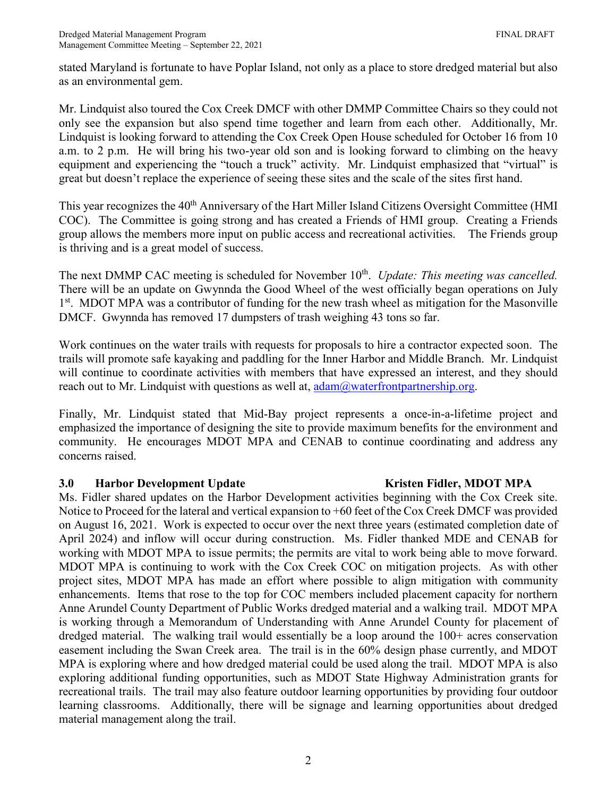stated Maryland is fortunate to have Poplar Island, not only as a place to store dredged material but also as an environmental gem.

Mr. Lindquist also toured the Cox Creek DMCF with other DMMP Committee Chairs so they could not only see the expansion but also spend time together and learn from each other. Additionally, Mr. Lindquist is looking forward to attending the Cox Creek Open House scheduled for October 16 from 10 a.m. to 2 p.m. He will bring his two-year old son and is looking forward to climbing on the heavy equipment and experiencing the "touch a truck" activity. Mr. Lindquist emphasized that "virtual" is great but doesn't replace the experience of seeing these sites and the scale of the sites first hand.

This year recognizes the 40<sup>th</sup> Anniversary of the Hart Miller Island Citizens Oversight Committee (HMI COC). The Committee is going strong and has created a Friends of HMI group. Creating a Friends group allows the members more input on public access and recreational activities. The Friends group is thriving and is a great model of success.

The next DMMP CAC meeting is scheduled for November 10<sup>th</sup>. *Update: This meeting was cancelled.* There will be an update on Gwynnda the Good Wheel of the west officially began operations on July 1<sup>st</sup>. MDOT MPA was a contributor of funding for the new trash wheel as mitigation for the Masonville DMCF. Gwynnda has removed 17 dumpsters of trash weighing 43 tons so far.

Work continues on the water trails with requests for proposals to hire a contractor expected soon. The trails will promote safe kayaking and paddling for the Inner Harbor and Middle Branch. Mr. Lindquist will continue to coordinate activities with members that have expressed an interest, and they should reach out to Mr. Lindquist with questions as well at,  $\frac{\text{adam}(a) \text{waterfrontpartnership.org}}{a}$ .

Finally, Mr. Lindquist stated that Mid-Bay project represents a once-in-a-lifetime project and emphasized the importance of designing the site to provide maximum benefits for the environment and community. He encourages MDOT MPA and CENAB to continue coordinating and address any concerns raised.

#### **3.0 Harbor Development Update Kristen Fidler, MDOT MPA**

Ms. Fidler shared updates on the Harbor Development activities beginning with the Cox Creek site. Notice to Proceed for the lateral and vertical expansion to +60 feet of the Cox Creek DMCF was provided on August 16, 2021. Work is expected to occur over the next three years (estimated completion date of April 2024) and inflow will occur during construction. Ms. Fidler thanked MDE and CENAB for working with MDOT MPA to issue permits; the permits are vital to work being able to move forward. MDOT MPA is continuing to work with the Cox Creek COC on mitigation projects. As with other project sites, MDOT MPA has made an effort where possible to align mitigation with community enhancements. Items that rose to the top for COC members included placement capacity for northern Anne Arundel County Department of Public Works dredged material and a walking trail. MDOT MPA is working through a Memorandum of Understanding with Anne Arundel County for placement of dredged material. The walking trail would essentially be a loop around the 100+ acres conservation easement including the Swan Creek area. The trail is in the 60% design phase currently, and MDOT MPA is exploring where and how dredged material could be used along the trail. MDOT MPA is also exploring additional funding opportunities, such as MDOT State Highway Administration grants for recreational trails. The trail may also feature outdoor learning opportunities by providing four outdoor learning classrooms. Additionally, there will be signage and learning opportunities about dredged material management along the trail.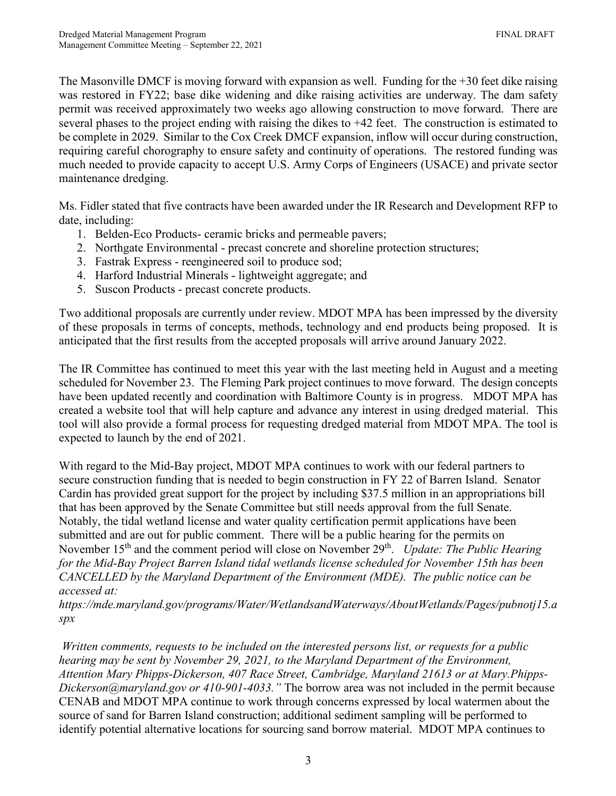The Masonville DMCF is moving forward with expansion as well. Funding for the +30 feet dike raising was restored in FY22; base dike widening and dike raising activities are underway. The dam safety permit was received approximately two weeks ago allowing construction to move forward. There are several phases to the project ending with raising the dikes to +42 feet. The construction is estimated to be complete in 2029. Similar to the Cox Creek DMCF expansion, inflow will occur during construction, requiring careful chorography to ensure safety and continuity of operations. The restored funding was much needed to provide capacity to accept U.S. Army Corps of Engineers (USACE) and private sector maintenance dredging.

Ms. Fidler stated that five contracts have been awarded under the IR Research and Development RFP to date, including:

- 1. Belden-Eco Products- ceramic bricks and permeable pavers;
- 2. Northgate Environmental precast concrete and shoreline protection structures;
- 3. Fastrak Express reengineered soil to produce sod;
- 4. Harford Industrial Minerals lightweight aggregate; and
- 5. Suscon Products precast concrete products.

Two additional proposals are currently under review. MDOT MPA has been impressed by the diversity of these proposals in terms of concepts, methods, technology and end products being proposed. It is anticipated that the first results from the accepted proposals will arrive around January 2022.

The IR Committee has continued to meet this year with the last meeting held in August and a meeting scheduled for November 23. The Fleming Park project continues to move forward. The design concepts have been updated recently and coordination with Baltimore County is in progress. MDOT MPA has created a website tool that will help capture and advance any interest in using dredged material. This tool will also provide a formal process for requesting dredged material from MDOT MPA. The tool is expected to launch by the end of 2021.

With regard to the Mid-Bay project, MDOT MPA continues to work with our federal partners to secure construction funding that is needed to begin construction in FY 22 of Barren Island. Senator Cardin has provided great support for the project by including \$37.5 million in an appropriations bill that has been approved by the Senate Committee but still needs approval from the full Senate. Notably, the tidal wetland license and water quality certification permit applications have been submitted and are out for public comment. There will be a public hearing for the permits on November 15<sup>th</sup> and the comment period will close on November 29<sup>th</sup>. *Update: The Public Hearing for the Mid-Bay Project Barren Island tidal wetlands license scheduled for November 15th has been CANCELLED by the Maryland Department of the Environment (MDE). The public notice can be accessed at:*

*[https://mde.maryland.gov/programs/Water/WetlandsandWaterways/AboutWetlands/Pages/pubnotj15.a](https://gcc02.safelinks.protection.outlook.com/?url=https%3A%2F%2Fmde.maryland.gov%2Fprograms%2FWater%2FWetlandsandWaterways%2FAboutWetlands%2FPages%2Fpubnotj15.aspx&data=04%7C01%7Ckkeene2%40marylandports.com%7C9c1bc73a9ad04bf504fd08d99d390f0f%7Cb38cd27c57ca4597be2822df43dd47f1%7C0%7C0%7C637713690963229636%7CUnknown%7CTWFpbGZsb3d8eyJWIjoiMC4wLjAwMDAiLCJQIjoiV2luMzIiLCJBTiI6Ik1haWwiLCJXVCI6Mn0%3D%7C1000&sdata=xk4f84qjBsqviBP%2F9x0Aq1iCZEPG4Ml7MGo1vB8H3cQ%3D&reserved=0) [spx](https://gcc02.safelinks.protection.outlook.com/?url=https%3A%2F%2Fmde.maryland.gov%2Fprograms%2FWater%2FWetlandsandWaterways%2FAboutWetlands%2FPages%2Fpubnotj15.aspx&data=04%7C01%7Ckkeene2%40marylandports.com%7C9c1bc73a9ad04bf504fd08d99d390f0f%7Cb38cd27c57ca4597be2822df43dd47f1%7C0%7C0%7C637713690963229636%7CUnknown%7CTWFpbGZsb3d8eyJWIjoiMC4wLjAwMDAiLCJQIjoiV2luMzIiLCJBTiI6Ik1haWwiLCJXVCI6Mn0%3D%7C1000&sdata=xk4f84qjBsqviBP%2F9x0Aq1iCZEPG4Ml7MGo1vB8H3cQ%3D&reserved=0)*

*Written comments, requests to be included on the interested persons list, or requests for a public hearing may be sent by November 29, 2021, to the Maryland Department of the Environment, Attention Mary Phipps-Dickerson, 407 Race Street, Cambridge, Maryland 21613 or at [Mary.Phipps-](mailto:Mary.Phipps-Dickerson@maryland.gov)[Dickerson@maryland.gov](mailto:Mary.Phipps-Dickerson@maryland.gov) or 410-901-4033."* The borrow area was not included in the permit because CENAB and MDOT MPA continue to work through concerns expressed by local watermen about the source of sand for Barren Island construction; additional sediment sampling will be performed to identify potential alternative locations for sourcing sand borrow material. MDOT MPA continues to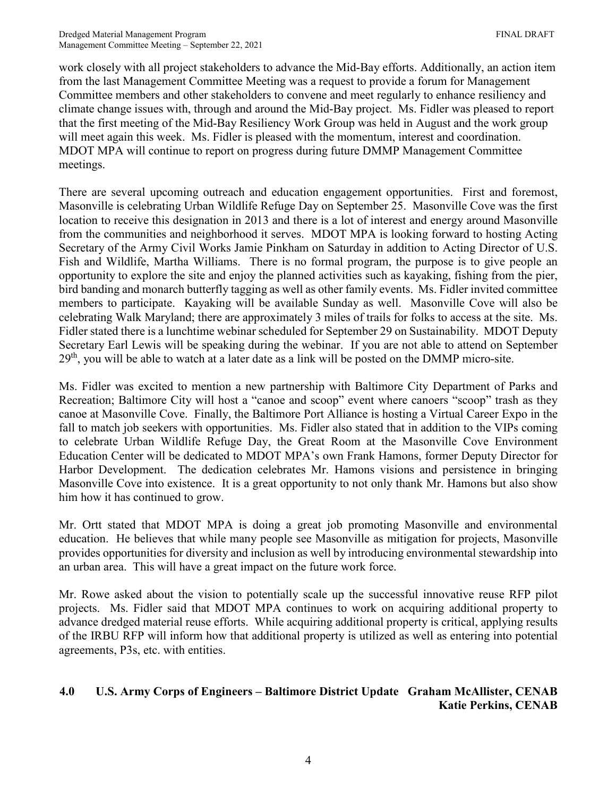work closely with all project stakeholders to advance the Mid-Bay efforts. Additionally, an action item from the last Management Committee Meeting was a request to provide a forum for Management Committee members and other stakeholders to convene and meet regularly to enhance resiliency and climate change issues with, through and around the Mid-Bay project. Ms. Fidler was pleased to report that the first meeting of the Mid-Bay Resiliency Work Group was held in August and the work group will meet again this week. Ms. Fidler is pleased with the momentum, interest and coordination. MDOT MPA will continue to report on progress during future DMMP Management Committee meetings.

There are several upcoming outreach and education engagement opportunities. First and foremost, Masonville is celebrating Urban Wildlife Refuge Day on September 25. Masonville Cove was the first location to receive this designation in 2013 and there is a lot of interest and energy around Masonville from the communities and neighborhood it serves. MDOT MPA is looking forward to hosting Acting Secretary of the Army Civil Works Jamie Pinkham on Saturday in addition to Acting Director of U.S. Fish and Wildlife, Martha Williams. There is no formal program, the purpose is to give people an opportunity to explore the site and enjoy the planned activities such as kayaking, fishing from the pier, bird banding and monarch butterfly tagging as well as other family events. Ms. Fidler invited committee members to participate. Kayaking will be available Sunday as well. Masonville Cove will also be celebrating Walk Maryland; there are approximately 3 miles of trails for folks to access at the site. Ms. Fidler stated there is a lunchtime webinar scheduled for September 29 on Sustainability. MDOT Deputy Secretary Earl Lewis will be speaking during the webinar. If you are not able to attend on September 29<sup>th</sup>, you will be able to watch at a later date as a link will be posted on the DMMP micro-site.

Ms. Fidler was excited to mention a new partnership with Baltimore City Department of Parks and Recreation; Baltimore City will host a "canoe and scoop" event where canoers "scoop" trash as they canoe at Masonville Cove. Finally, the Baltimore Port Alliance is hosting a Virtual Career Expo in the fall to match job seekers with opportunities. Ms. Fidler also stated that in addition to the VIPs coming to celebrate Urban Wildlife Refuge Day, the Great Room at the Masonville Cove Environment Education Center will be dedicated to MDOT MPA's own Frank Hamons, former Deputy Director for Harbor Development. The dedication celebrates Mr. Hamons visions and persistence in bringing Masonville Cove into existence. It is a great opportunity to not only thank Mr. Hamons but also show him how it has continued to grow.

Mr. Ortt stated that MDOT MPA is doing a great job promoting Masonville and environmental education. He believes that while many people see Masonville as mitigation for projects, Masonville provides opportunities for diversity and inclusion as well by introducing environmental stewardship into an urban area. This will have a great impact on the future work force.

Mr. Rowe asked about the vision to potentially scale up the successful innovative reuse RFP pilot projects. Ms. Fidler said that MDOT MPA continues to work on acquiring additional property to advance dredged material reuse efforts. While acquiring additional property is critical, applying results of the IRBU RFP will inform how that additional property is utilized as well as entering into potential agreements, P3s, etc. with entities.

# **4.0 U.S. Army Corps of Engineers – Baltimore District Update Graham McAllister, CENAB Katie Perkins, CENAB**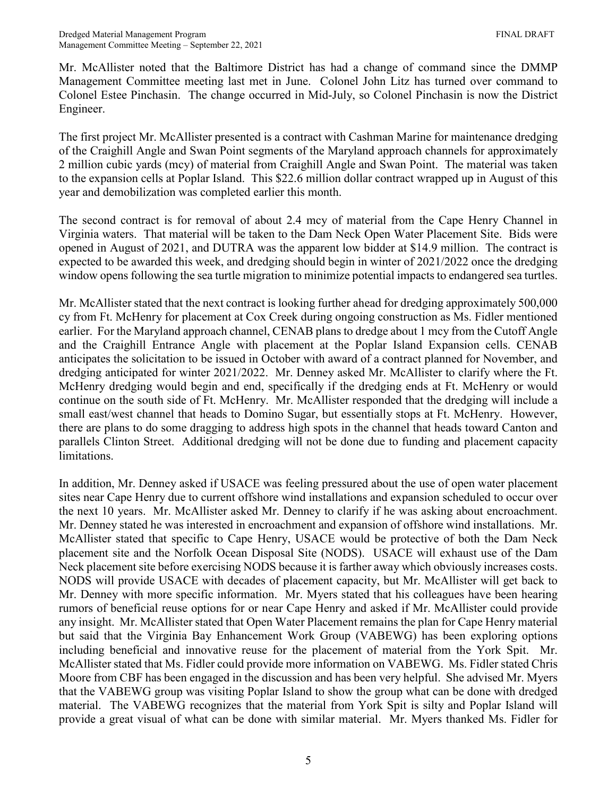Mr. McAllister noted that the Baltimore District has had a change of command since the DMMP Management Committee meeting last met in June. Colonel John Litz has turned over command to Colonel Estee Pinchasin. The change occurred in Mid-July, so Colonel Pinchasin is now the District Engineer.

The first project Mr. McAllister presented is a contract with Cashman Marine for maintenance dredging of the Craighill Angle and Swan Point segments of the Maryland approach channels for approximately 2 million cubic yards (mcy) of material from Craighill Angle and Swan Point. The material was taken to the expansion cells at Poplar Island. This \$22.6 million dollar contract wrapped up in August of this year and demobilization was completed earlier this month.

The second contract is for removal of about 2.4 mcy of material from the Cape Henry Channel in Virginia waters. That material will be taken to the Dam Neck Open Water Placement Site. Bids were opened in August of 2021, and DUTRA was the apparent low bidder at \$14.9 million. The contract is expected to be awarded this week, and dredging should begin in winter of 2021/2022 once the dredging window opens following the sea turtle migration to minimize potential impacts to endangered sea turtles.

Mr. McAllister stated that the next contract is looking further ahead for dredging approximately 500,000 cy from Ft. McHenry for placement at Cox Creek during ongoing construction as Ms. Fidler mentioned earlier. For the Maryland approach channel, CENAB plans to dredge about 1 mcy from the Cutoff Angle and the Craighill Entrance Angle with placement at the Poplar Island Expansion cells. CENAB anticipates the solicitation to be issued in October with award of a contract planned for November, and dredging anticipated for winter 2021/2022. Mr. Denney asked Mr. McAllister to clarify where the Ft. McHenry dredging would begin and end, specifically if the dredging ends at Ft. McHenry or would continue on the south side of Ft. McHenry. Mr. McAllister responded that the dredging will include a small east/west channel that heads to Domino Sugar, but essentially stops at Ft. McHenry. However, there are plans to do some dragging to address high spots in the channel that heads toward Canton and parallels Clinton Street. Additional dredging will not be done due to funding and placement capacity limitations.

In addition, Mr. Denney asked if USACE was feeling pressured about the use of open water placement sites near Cape Henry due to current offshore wind installations and expansion scheduled to occur over the next 10 years. Mr. McAllister asked Mr. Denney to clarify if he was asking about encroachment. Mr. Denney stated he was interested in encroachment and expansion of offshore wind installations. Mr. McAllister stated that specific to Cape Henry, USACE would be protective of both the Dam Neck placement site and the Norfolk Ocean Disposal Site (NODS). USACE will exhaust use of the Dam Neck placement site before exercising NODS because it is farther away which obviously increases costs. NODS will provide USACE with decades of placement capacity, but Mr. McAllister will get back to Mr. Denney with more specific information. Mr. Myers stated that his colleagues have been hearing rumors of beneficial reuse options for or near Cape Henry and asked if Mr. McAllister could provide any insight. Mr. McAllister stated that Open Water Placement remains the plan for Cape Henry material but said that the Virginia Bay Enhancement Work Group (VABEWG) has been exploring options including beneficial and innovative reuse for the placement of material from the York Spit. Mr. McAllister stated that Ms. Fidler could provide more information on VABEWG. Ms. Fidler stated Chris Moore from CBF has been engaged in the discussion and has been very helpful. She advised Mr. Myers that the VABEWG group was visiting Poplar Island to show the group what can be done with dredged material. The VABEWG recognizes that the material from York Spit is silty and Poplar Island will provide a great visual of what can be done with similar material. Mr. Myers thanked Ms. Fidler for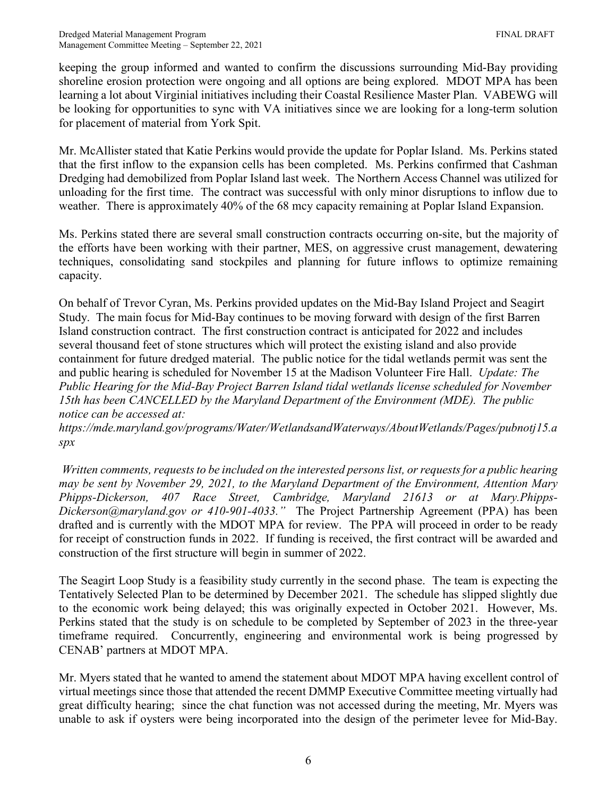keeping the group informed and wanted to confirm the discussions surrounding Mid-Bay providing shoreline erosion protection were ongoing and all options are being explored. MDOT MPA has been learning a lot about Virginial initiatives including their Coastal Resilience Master Plan. VABEWG will be looking for opportunities to sync with VA initiatives since we are looking for a long-term solution for placement of material from York Spit.

Mr. McAllister stated that Katie Perkins would provide the update for Poplar Island. Ms. Perkins stated that the first inflow to the expansion cells has been completed. Ms. Perkins confirmed that Cashman Dredging had demobilized from Poplar Island last week. The Northern Access Channel was utilized for unloading for the first time. The contract was successful with only minor disruptions to inflow due to weather. There is approximately 40% of the 68 mcy capacity remaining at Poplar Island Expansion.

Ms. Perkins stated there are several small construction contracts occurring on-site, but the majority of the efforts have been working with their partner, MES, on aggressive crust management, dewatering techniques, consolidating sand stockpiles and planning for future inflows to optimize remaining capacity.

On behalf of Trevor Cyran, Ms. Perkins provided updates on the Mid-Bay Island Project and Seagirt Study. The main focus for Mid-Bay continues to be moving forward with design of the first Barren Island construction contract. The first construction contract is anticipated for 2022 and includes several thousand feet of stone structures which will protect the existing island and also provide containment for future dredged material. The public notice for the tidal wetlands permit was sent the and public hearing is scheduled for November 15 at the Madison Volunteer Fire Hall. *Update: The Public Hearing for the Mid-Bay Project Barren Island tidal wetlands license scheduled for November 15th has been CANCELLED by the Maryland Department of the Environment (MDE). The public notice can be accessed at:*

*[https://mde.maryland.gov/programs/Water/WetlandsandWaterways/AboutWetlands/Pages/pubnotj15.a](https://gcc02.safelinks.protection.outlook.com/?url=https%3A%2F%2Fmde.maryland.gov%2Fprograms%2FWater%2FWetlandsandWaterways%2FAboutWetlands%2FPages%2Fpubnotj15.aspx&data=04%7C01%7Ckkeene2%40marylandports.com%7C9c1bc73a9ad04bf504fd08d99d390f0f%7Cb38cd27c57ca4597be2822df43dd47f1%7C0%7C0%7C637713690963229636%7CUnknown%7CTWFpbGZsb3d8eyJWIjoiMC4wLjAwMDAiLCJQIjoiV2luMzIiLCJBTiI6Ik1haWwiLCJXVCI6Mn0%3D%7C1000&sdata=xk4f84qjBsqviBP%2F9x0Aq1iCZEPG4Ml7MGo1vB8H3cQ%3D&reserved=0) [spx](https://gcc02.safelinks.protection.outlook.com/?url=https%3A%2F%2Fmde.maryland.gov%2Fprograms%2FWater%2FWetlandsandWaterways%2FAboutWetlands%2FPages%2Fpubnotj15.aspx&data=04%7C01%7Ckkeene2%40marylandports.com%7C9c1bc73a9ad04bf504fd08d99d390f0f%7Cb38cd27c57ca4597be2822df43dd47f1%7C0%7C0%7C637713690963229636%7CUnknown%7CTWFpbGZsb3d8eyJWIjoiMC4wLjAwMDAiLCJQIjoiV2luMzIiLCJBTiI6Ik1haWwiLCJXVCI6Mn0%3D%7C1000&sdata=xk4f84qjBsqviBP%2F9x0Aq1iCZEPG4Ml7MGo1vB8H3cQ%3D&reserved=0)*

*Written comments, requests to be included on the interested persons list, or requests for a public hearing may be sent by November 29, 2021, to the Maryland Department of the Environment, Attention Mary*  Phipps-Dickerson, 407 Race Street, Cambridge, Maryland 21613 or at [Mary.Phipps-](mailto:Mary.Phipps-Dickerson@maryland.gov)*[Dickerson@maryland.gov](mailto:Mary.Phipps-Dickerson@maryland.gov) or 410-901-4033."* The Project Partnership Agreement (PPA) has been drafted and is currently with the MDOT MPA for review. The PPA will proceed in order to be ready for receipt of construction funds in 2022. If funding is received, the first contract will be awarded and construction of the first structure will begin in summer of 2022.

The Seagirt Loop Study is a feasibility study currently in the second phase. The team is expecting the Tentatively Selected Plan to be determined by December 2021. The schedule has slipped slightly due to the economic work being delayed; this was originally expected in October 2021. However, Ms. Perkins stated that the study is on schedule to be completed by September of 2023 in the three-year timeframe required. Concurrently, engineering and environmental work is being progressed by CENAB' partners at MDOT MPA.

Mr. Myers stated that he wanted to amend the statement about MDOT MPA having excellent control of virtual meetings since those that attended the recent DMMP Executive Committee meeting virtually had great difficulty hearing; since the chat function was not accessed during the meeting, Mr. Myers was unable to ask if oysters were being incorporated into the design of the perimeter levee for Mid-Bay.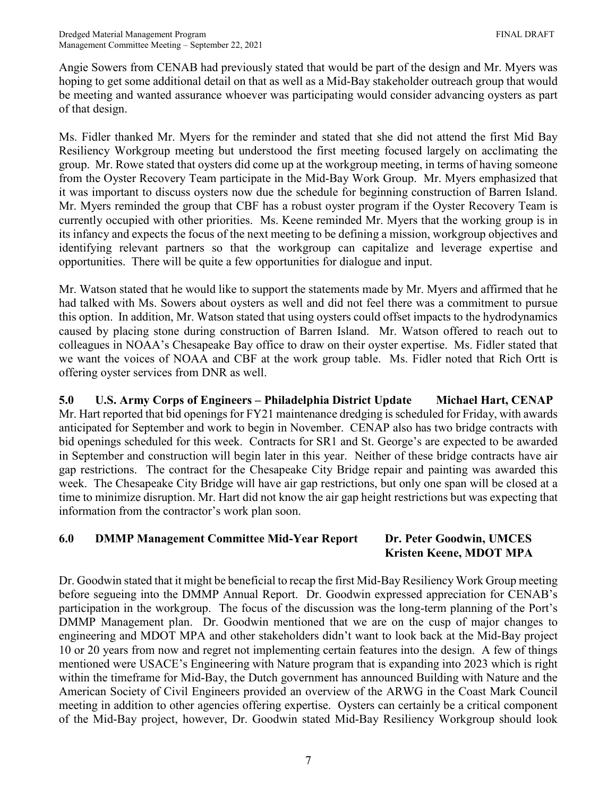Angie Sowers from CENAB had previously stated that would be part of the design and Mr. Myers was hoping to get some additional detail on that as well as a Mid-Bay stakeholder outreach group that would be meeting and wanted assurance whoever was participating would consider advancing oysters as part of that design.

Ms. Fidler thanked Mr. Myers for the reminder and stated that she did not attend the first Mid Bay Resiliency Workgroup meeting but understood the first meeting focused largely on acclimating the group. Mr. Rowe stated that oysters did come up at the workgroup meeting, in terms of having someone from the Oyster Recovery Team participate in the Mid-Bay Work Group. Mr. Myers emphasized that it was important to discuss oysters now due the schedule for beginning construction of Barren Island. Mr. Myers reminded the group that CBF has a robust oyster program if the Oyster Recovery Team is currently occupied with other priorities. Ms. Keene reminded Mr. Myers that the working group is in its infancy and expects the focus of the next meeting to be defining a mission, workgroup objectives and identifying relevant partners so that the workgroup can capitalize and leverage expertise and opportunities. There will be quite a few opportunities for dialogue and input.

Mr. Watson stated that he would like to support the statements made by Mr. Myers and affirmed that he had talked with Ms. Sowers about oysters as well and did not feel there was a commitment to pursue this option. In addition, Mr. Watson stated that using oysters could offset impacts to the hydrodynamics caused by placing stone during construction of Barren Island. Mr. Watson offered to reach out to colleagues in NOAA's Chesapeake Bay office to draw on their oyster expertise. Ms. Fidler stated that we want the voices of NOAA and CBF at the work group table. Ms. Fidler noted that Rich Ortt is offering oyster services from DNR as well.

**5.0 U.S. Army Corps of Engineers – Philadelphia District Update Michael Hart, CENAP** Mr. Hart reported that bid openings for FY21 maintenance dredging is scheduled for Friday, with awards anticipated for September and work to begin in November. CENAP also has two bridge contracts with bid openings scheduled for this week. Contracts for SR1 and St. George's are expected to be awarded in September and construction will begin later in this year. Neither of these bridge contracts have air gap restrictions. The contract for the Chesapeake City Bridge repair and painting was awarded this week. The Chesapeake City Bridge will have air gap restrictions, but only one span will be closed at a time to minimize disruption. Mr. Hart did not know the air gap height restrictions but was expecting that information from the contractor's work plan soon.

# **6.0 DMMP Management Committee Mid-Year Report Dr. Peter Goodwin, UMCES Kristen Keene, MDOT MPA**

Dr. Goodwin stated that it might be beneficial to recap the first Mid-Bay Resiliency Work Group meeting before segueing into the DMMP Annual Report. Dr. Goodwin expressed appreciation for CENAB's participation in the workgroup. The focus of the discussion was the long-term planning of the Port's DMMP Management plan. Dr. Goodwin mentioned that we are on the cusp of major changes to engineering and MDOT MPA and other stakeholders didn't want to look back at the Mid-Bay project 10 or 20 years from now and regret not implementing certain features into the design. A few of things mentioned were USACE's Engineering with Nature program that is expanding into 2023 which is right within the timeframe for Mid-Bay, the Dutch government has announced Building with Nature and the American Society of Civil Engineers provided an overview of the ARWG in the Coast Mark Council meeting in addition to other agencies offering expertise. Oysters can certainly be a critical component of the Mid-Bay project, however, Dr. Goodwin stated Mid-Bay Resiliency Workgroup should look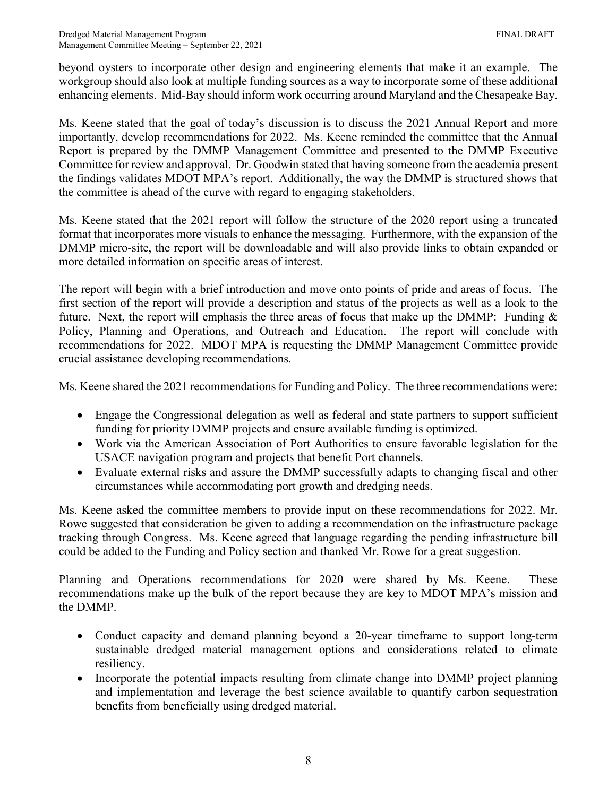beyond oysters to incorporate other design and engineering elements that make it an example. The workgroup should also look at multiple funding sources as a way to incorporate some of these additional enhancing elements. Mid-Bay should inform work occurring around Maryland and the Chesapeake Bay.

Ms. Keene stated that the goal of today's discussion is to discuss the 2021 Annual Report and more importantly, develop recommendations for 2022. Ms. Keene reminded the committee that the Annual Report is prepared by the DMMP Management Committee and presented to the DMMP Executive Committee for review and approval. Dr. Goodwin stated that having someone from the academia present the findings validates MDOT MPA's report. Additionally, the way the DMMP is structured shows that the committee is ahead of the curve with regard to engaging stakeholders.

Ms. Keene stated that the 2021 report will follow the structure of the 2020 report using a truncated format that incorporates more visuals to enhance the messaging. Furthermore, with the expansion of the DMMP micro-site, the report will be downloadable and will also provide links to obtain expanded or more detailed information on specific areas of interest.

The report will begin with a brief introduction and move onto points of pride and areas of focus. The first section of the report will provide a description and status of the projects as well as a look to the future. Next, the report will emphasis the three areas of focus that make up the DMMP: Funding  $\&$ Policy, Planning and Operations, and Outreach and Education. The report will conclude with recommendations for 2022. MDOT MPA is requesting the DMMP Management Committee provide crucial assistance developing recommendations.

Ms. Keene shared the 2021 recommendations for Funding and Policy. The three recommendations were:

- Engage the Congressional delegation as well as federal and state partners to support sufficient funding for priority DMMP projects and ensure available funding is optimized.
- Work via the American Association of Port Authorities to ensure favorable legislation for the USACE navigation program and projects that benefit Port channels.
- Evaluate external risks and assure the DMMP successfully adapts to changing fiscal and other circumstances while accommodating port growth and dredging needs.

Ms. Keene asked the committee members to provide input on these recommendations for 2022. Mr. Rowe suggested that consideration be given to adding a recommendation on the infrastructure package tracking through Congress. Ms. Keene agreed that language regarding the pending infrastructure bill could be added to the Funding and Policy section and thanked Mr. Rowe for a great suggestion.

Planning and Operations recommendations for 2020 were shared by Ms. Keene. These recommendations make up the bulk of the report because they are key to MDOT MPA's mission and the DMMP.

- Conduct capacity and demand planning beyond a 20-year timeframe to support long-term sustainable dredged material management options and considerations related to climate resiliency.
- Incorporate the potential impacts resulting from climate change into DMMP project planning and implementation and leverage the best science available to quantify carbon sequestration benefits from beneficially using dredged material.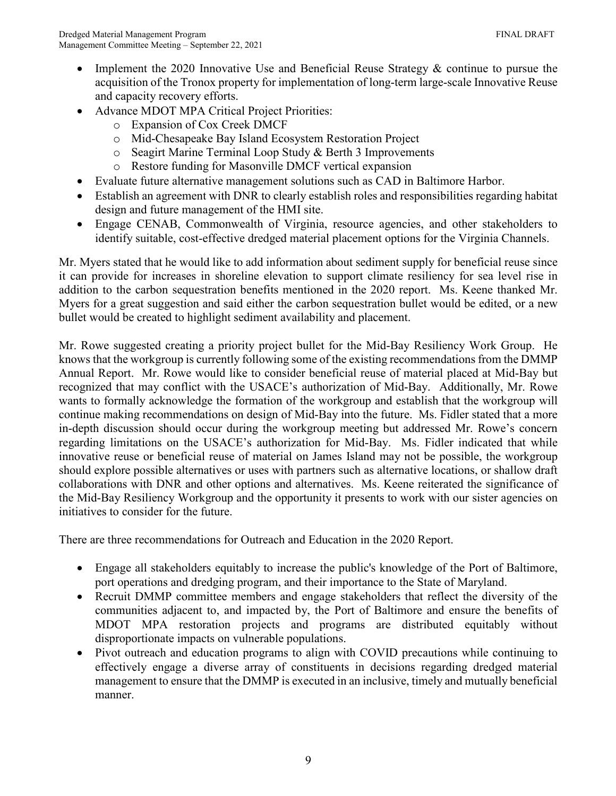- Implement the 2020 Innovative Use and Beneficial Reuse Strategy & continue to pursue the acquisition of the Tronox property for implementation of long-term large-scale Innovative Reuse and capacity recovery efforts.
- Advance MDOT MPA Critical Project Priorities:
	- o Expansion of Cox Creek DMCF
	- o Mid-Chesapeake Bay Island Ecosystem Restoration Project
	- o Seagirt Marine Terminal Loop Study & Berth 3 Improvements
	- o Restore funding for Masonville DMCF vertical expansion
- Evaluate future alternative management solutions such as CAD in Baltimore Harbor.
- Establish an agreement with DNR to clearly establish roles and responsibilities regarding habitat design and future management of the HMI site.
- Engage CENAB, Commonwealth of Virginia, resource agencies, and other stakeholders to identify suitable, cost-effective dredged material placement options for the Virginia Channels.

Mr. Myers stated that he would like to add information about sediment supply for beneficial reuse since it can provide for increases in shoreline elevation to support climate resiliency for sea level rise in addition to the carbon sequestration benefits mentioned in the 2020 report. Ms. Keene thanked Mr. Myers for a great suggestion and said either the carbon sequestration bullet would be edited, or a new bullet would be created to highlight sediment availability and placement.

Mr. Rowe suggested creating a priority project bullet for the Mid-Bay Resiliency Work Group. He knows that the workgroup is currently following some of the existing recommendations from the DMMP Annual Report. Mr. Rowe would like to consider beneficial reuse of material placed at Mid-Bay but recognized that may conflict with the USACE's authorization of Mid-Bay. Additionally, Mr. Rowe wants to formally acknowledge the formation of the workgroup and establish that the workgroup will continue making recommendations on design of Mid-Bay into the future. Ms. Fidler stated that a more in-depth discussion should occur during the workgroup meeting but addressed Mr. Rowe's concern regarding limitations on the USACE's authorization for Mid-Bay. Ms. Fidler indicated that while innovative reuse or beneficial reuse of material on James Island may not be possible, the workgroup should explore possible alternatives or uses with partners such as alternative locations, or shallow draft collaborations with DNR and other options and alternatives. Ms. Keene reiterated the significance of the Mid-Bay Resiliency Workgroup and the opportunity it presents to work with our sister agencies on initiatives to consider for the future.

There are three recommendations for Outreach and Education in the 2020 Report.

- Engage all stakeholders equitably to increase the public's knowledge of the Port of Baltimore, port operations and dredging program, and their importance to the State of Maryland.
- Recruit DMMP committee members and engage stakeholders that reflect the diversity of the communities adjacent to, and impacted by, the Port of Baltimore and ensure the benefits of MDOT MPA restoration projects and programs are distributed equitably without disproportionate impacts on vulnerable populations.
- Pivot outreach and education programs to align with COVID precautions while continuing to effectively engage a diverse array of constituents in decisions regarding dredged material management to ensure that the DMMP is executed in an inclusive, timely and mutually beneficial manner.